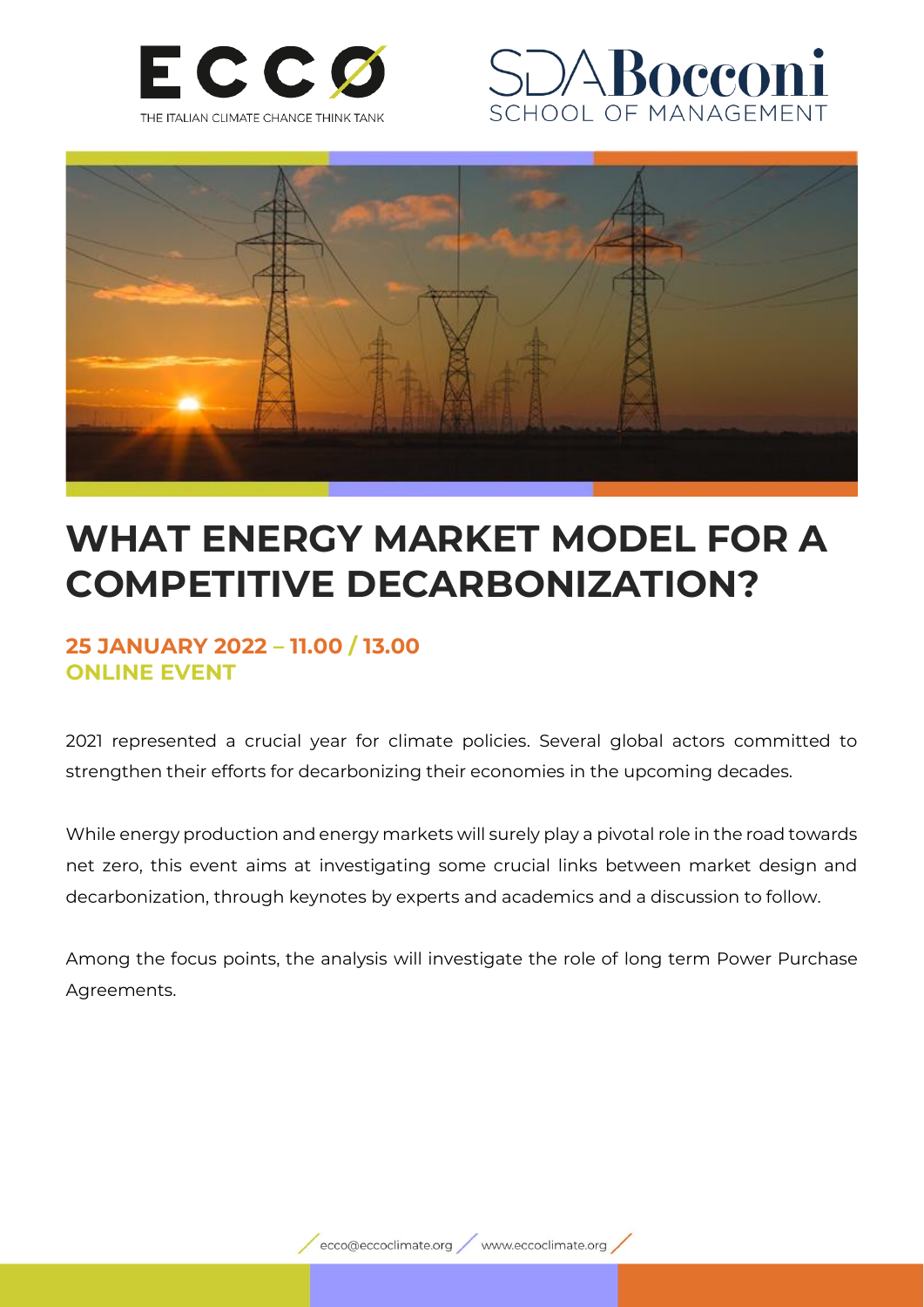





# **WHAT ENERGY MARKET MODEL FOR A COMPETITIVE DECARBONIZATION?**

### **25 JANUARY 2022 – 11.00 / 13.00 ONLINE EVENT**

2021 represented a crucial year for climate policies. Several global actors committed to strengthen their efforts for decarbonizing their economies in the upcoming decades.

While energy production and energy markets will surely play a pivotal role in the road towards net zero, this event aims at investigating some crucial links between market design and decarbonization, through keynotes by experts and academics and a discussion to follow.

Among the focus points, the analysis will investigate the role of long term Power Purchase Agreements.

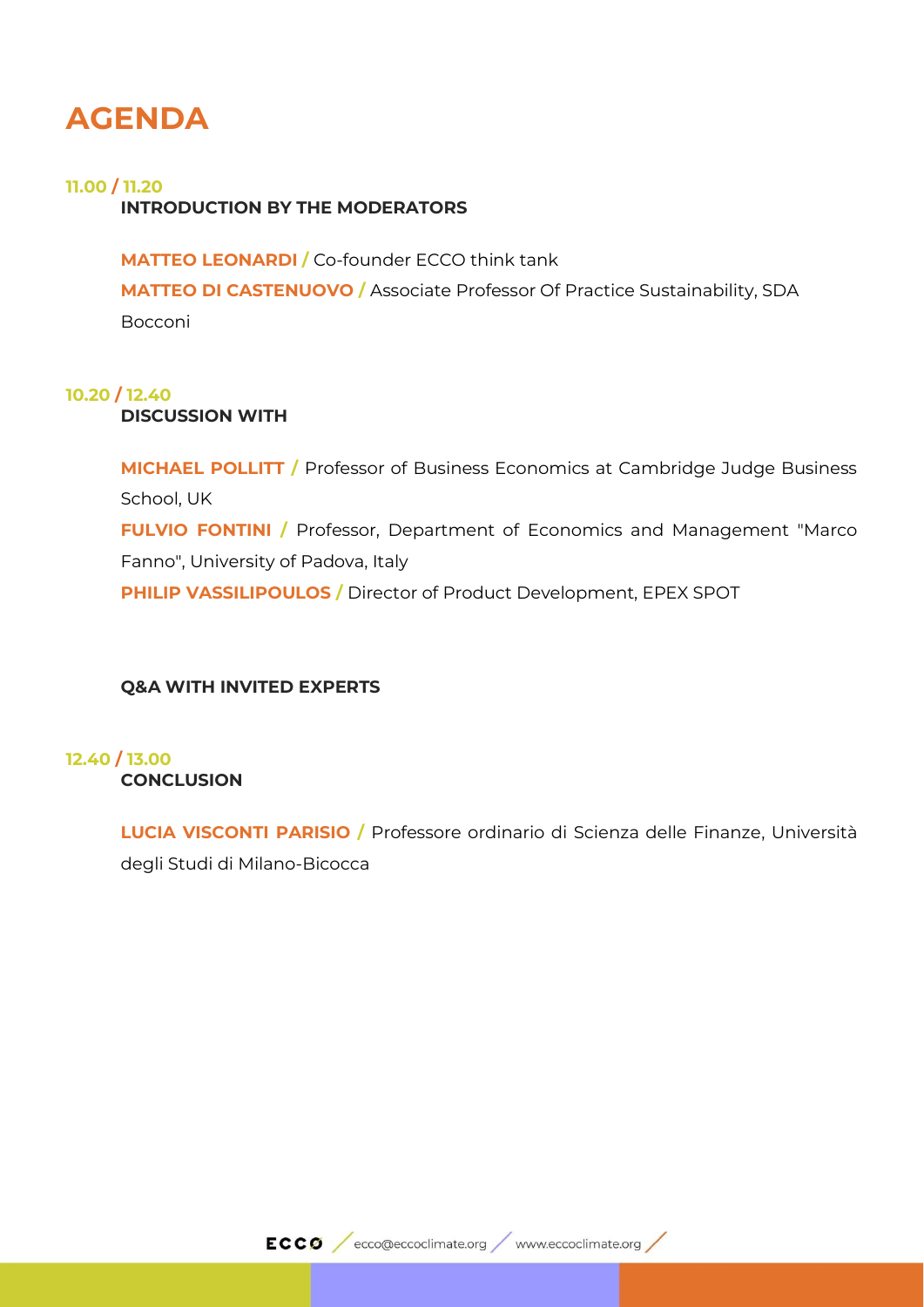### **AGENDA**

#### **11.00 / 11.20**

#### **INTRODUCTION BY THE MODERATORS**

**MATTEO LEONARDI /** Co-founder ECCO think tank **MATTEO DI CASTENUOVO /** Associate Professor Of Practice Sustainability, SDA Bocconi

#### **10.20 / 12.40**

**DISCUSSION WITH**

**MICHAEL POLLITT /** Professor of Business Economics at Cambridge Judge Business School, UK **FULVIO FONTINI /** Professor, Department of Economics and Management "Marco" Fanno", University of Padova, Italy **PHILIP VASSILIPOULOS /** Director of Product Development, EPEX SPOT

#### **Q&A WITH INVITED EXPERTS**

#### **12.40 / 13.00 CONCLUSION**

**LUCIA VISCONTI PARISIO /** Professore ordinario di Scienza delle Finanze, Università degli Studi di Milano-Bicocca